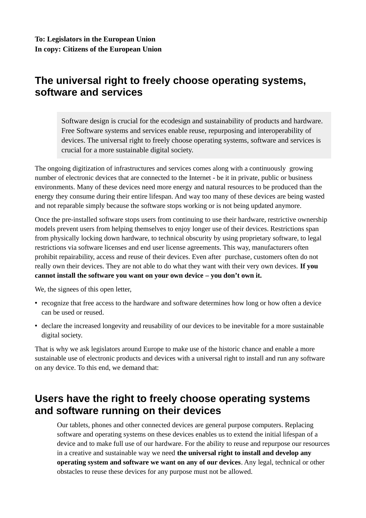## **The universal right to freely choose operating systems, software and services**

Software design is crucial for the ecodesign and sustainability of products and hardware. Free Software systems and services enable reuse, repurposing and interoperability of devices. The universal right to freely choose operating systems, software and services is crucial for a more sustainable digital society.

The ongoing digitization of infrastructures and services comes along with a continuously growing number of electronic devices that are connected to the Internet - be it in private, public or business environments. Many of these devices need more energy and natural resources to be produced than the energy they consume during their entire lifespan. And way too many of these devices are being wasted and not reparable simply because the software stops working or is not being updated anymore.

Once the pre-installed software stops users from continuing to use their hardware, restrictive ownership models prevent users from helping themselves to enjoy longer use of their devices. Restrictions span from physically locking down hardware, to technical obscurity by using proprietary software, to legal restrictions via software licenses and end user license agreements. This way, manufacturers often prohibit repairability, access and reuse of their devices. Even after purchase, customers often do not really own their devices. They are not able to do what they want with their very own devices. **If you cannot install the software you want on your own device – you don't own it.**

We, the signees of this open letter,

- recognize that free access to the hardware and software determines how long or how often a device can be used or reused.
- declare the increased longevity and reusability of our devices to be inevitable for a more sustainable digital society.

That is why we ask legislators around Europe to make use of the historic chance and enable a more sustainable use of electronic products and devices with a universal right to install and run any software on any device. To this end, we demand that:

## **Users have the right to freely choose operating systems and software running on their devices**

Our tablets, phones and other connected devices are general purpose computers. Replacing software and operating systems on these devices enables us to extend the initial lifespan of a device and to make full use of our hardware. For the ability to reuse and repurpose our resources in a creative and sustainable way we need **the universal right to install and develop any operating system and software we want on any of our devices**. Any legal, technical or other obstacles to reuse these devices for any purpose must not be allowed.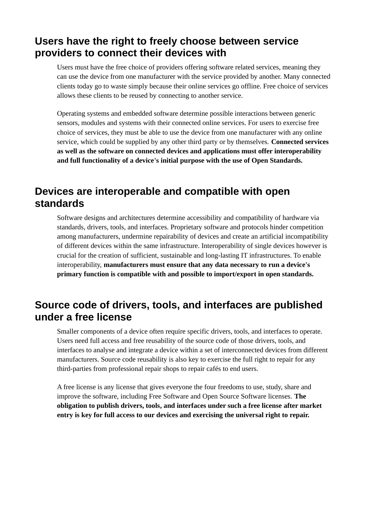## **Users have the right to freely choose between service providers to connect their devices with**

Users must have the free choice of providers offering software related services, meaning they can use the device from one manufacturer with the service provided by another. Many connected clients today go to waste simply because their online services go offline. Free choice of services allows these clients to be reused by connecting to another service.

Operating systems and embedded software determine possible interactions between generic sensors, modules and systems with their connected online services. For users to exercise free choice of services, they must be able to use the device from one manufacturer with any online service, which could be supplied by any other third party or by themselves. **Connected services as well as the software on connected devices and applications must offer interoperability and full functionality of a device's initial purpose with the use of Open Standards.**

# **Devices are interoperable and compatible with open standards**

Software designs and architectures determine accessibility and compatibility of hardware via standards, drivers, tools, and interfaces. Proprietary software and protocols hinder competition among manufacturers, undermine repairability of devices and create an artificial incompatibility of different devices within the same infrastructure. Interoperability of single devices however is crucial for the creation of sufficient, sustainable and long-lasting IT infrastructures. To enable interoperability, **manufacturers must ensure that any data necessary to run a device's primary function is compatible with and possible to import/export in open standards.**

## **Source code of drivers, tools, and interfaces are published under a free license**

Smaller components of a device often require specific drivers, tools, and interfaces to operate. Users need full access and free reusability of the source code of those drivers, tools, and interfaces to analyse and integrate a device within a set of interconnected devices from different manufacturers. Source code reusability is also key to exercise the full right to repair for any third-parties from professional repair shops to repair cafés to end users.

A free license is any license that gives everyone the four freedoms to use, study, share and improve the software, including Free Software and Open Source Software licenses. **The obligation to publish drivers, tools, and interfaces under such a free license after market entry is key for full access to our devices and exercising the universal right to repair.**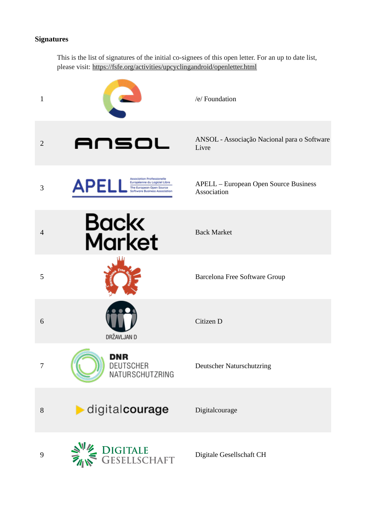#### **Signatures**

This is the list of signatures of the initial co-signees of this open letter. For an up to date list, please visit: <https://fsfe.org/activities/upcyclingandroid/openletter.html>

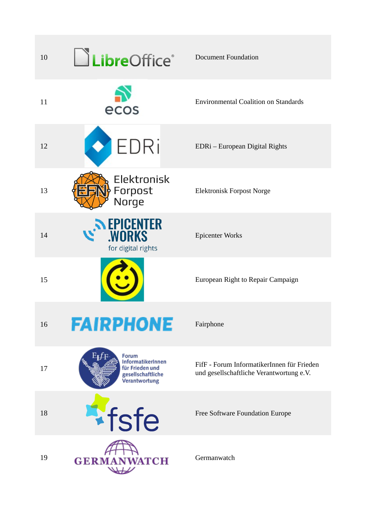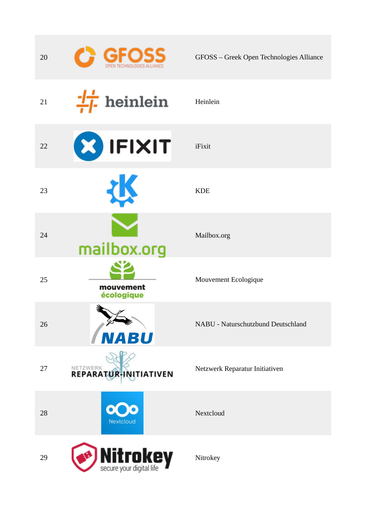